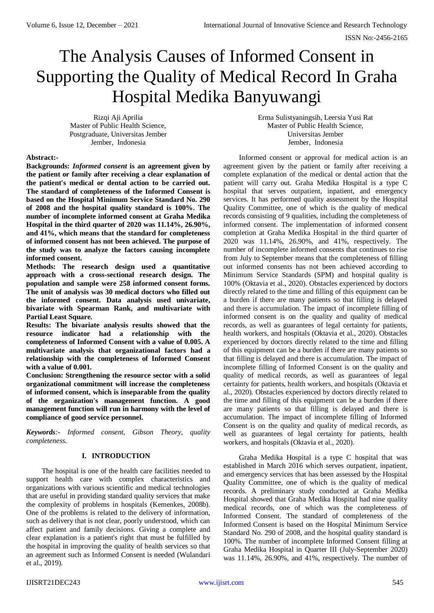# The Analysis Causes of Informed Consent in Supporting the Quality of Medical Record In Graha Hospital Medika Banyuwangi

Rizqi Aji Aprilia Master of Public Health Science, Postgraduate, Universitas Jember Jember, Indonesia

Erma Sulistyaningsih, Leersia Yusi Rat Master of Public Health Science, Universitas Jember Jember, Indonesia

## **Abstract:-**

**Backgrounds:** *Informed consent* **is an agreement given by the patient or family after receiving a clear explanation of the patient's medical or dental action to be carried out. The standard of completeness of the Informed Consent is based on the Hospital Minimum Service Standard No. 290 of 2008 and the hospital quality standard is 100%. The number of incomplete informed consent at Graha Medika Hospital in the third quarter of 2020 was 11.14%, 26.90%, and 41%, which means that the standard for completeness of informed consent has not been achieved. The purpose of the study was to analyze the factors causing incomplete informed consent.**

**Methods: The research design used a quantitative approach with a cross-sectional research design. The population and sample were 258 informed consent forms. The unit of analysis was 30 medical doctors who filled out the informed consent. Data analysis used univariate, bivariate with Spearman Rank, and multivariate with Partial Least Square.**

**Results: The bivariate analysis results showed that the resource indicator had a relationship with the completeness of Informed Consent with a value of 0.005. A multivariate analysis that organizational factors had a relationship with the completeness of Informed Consent with a value of 0.001.**

**Conclusion: Strengthening the resource sector with a solid organizational commitment will increase the completeness of informed consent, which is inseparable from the quality of the organization's management function. A good management function will run in harmony with the level of compliance of good service personnel.**

*Keywords:- Informed consent, Gibson Theory, quality completeness.*

# **I. INTRODUCTION**

The hospital is one of the health care facilities needed to support health care with complex characteristics and organizations with various scientific and medical technologies that are useful in providing standard quality services that make the complexity of problems in hospitals (Kemenkes, 2008b). One of the problems is related to the delivery of information, such as delivery that is not clear, poorly understood, which can affect patient and family decisions. Giving a complete and clear explanation is a patient's right that must be fulfilled by the hospital in improving the quality of health services so that an agreement such as Informed Consent is needed (Wulandari et al., 2019).

Informed consent or approval for medical action is an agreement given by the patient or family after receiving a complete explanation of the medical or dental action that the patient will carry out. Graha Medika Hospital is a type C hospital that serves outpatient, inpatient, and emergency services. It has performed quality assessment by the Hospital Quality Committee, one of which is the quality of medical records consisting of 9 qualities, including the completeness of informed consent. The implementation of informed consent completion at Graha Medika Hospital in the third quarter of 2020 was 11.14%, 26.90%, and 41%, respectively. The number of incomplete informed consents that continues to rise from July to September means that the completeness of filling out informed consents has not been achieved according to Minimum Service Standards (SPM) and hospital quality is 100% (Oktavia et al., 2020). Obstacles experienced by doctors directly related to the time and filling of this equipment can be a burden if there are many patients so that filling is delayed and there is accumulation. The impact of incomplete filling of informed consent is on the quality and quality of medical records, as well as guarantees of legal certainty for patients, health workers, and hospitals (Oktavia et al., 2020). Obstacles experienced by doctors directly related to the time and filling of this equipment can be a burden if there are many patients so that filling is delayed and there is accumulation. The impact of incomplete filling of Informed Consent is on the quality and quality of medical records, as well as guarantees of legal certainty for patients, health workers, and hospitals (Oktavia et al., 2020). Obstacles experienced by doctors directly related to the time and filling of this equipment can be a burden if there are many patients so that filling is delayed and there is accumulation. The impact of incomplete filling of Informed Consent is on the quality and quality of medical records, as well as guarantees of legal certainty for patients, health workers, and hospitals (Oktavia et al., 2020).

Graha Medika Hospital is a type C hospital that was established in March 2016 which serves outpatient, inpatient, and emergency services that has been assessed by the Hospital Quality Committee, one of which is the quality of medical records. A preliminary study conducted at Graha Medika Hospital showed that Graha Medika Hospital had nine quality medical records, one of which was the completeness of Informed Consent. The standard of completeness of the Informed Consent is based on the Hospital Minimum Service Standard No. 290 of 2008, and the hospital quality standard is 100%. The number of incomplete Informed Consent filling at Graha Medika Hospital in Quarter III (July-September 2020) was 11.14%, 26.90%, and 41%, respectively. The number of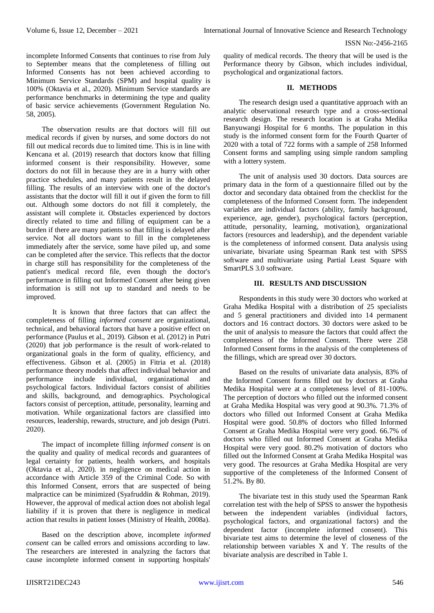incomplete Informed Consents that continues to rise from July to September means that the completeness of filling out Informed Consents has not been achieved according to Minimum Service Standards (SPM) and hospital quality is 100% (Oktavia et al., 2020). Minimum Service standards are performance benchmarks in determining the type and quality of basic service achievements (Government Regulation No. 58, 2005).

The observation results are that doctors will fill out medical records if given by nurses, and some doctors do not fill out medical records due to limited time. This is in line with Kencana et al. (2019) research that doctors know that filling informed consent is their responsibility. However, some doctors do not fill in because they are in a hurry with other practice schedules, and many patients result in the delayed filling. The results of an interview with one of the doctor's assistants that the doctor will fill it out if given the form to fill out. Although some doctors do not fill it completely, the assistant will complete it. Obstacles experienced by doctors directly related to time and filling of equipment can be a burden if there are many patients so that filling is delayed after service. Not all doctors want to fill in the completeness immediately after the service, some have piled up, and some can be completed after the service. This reflects that the doctor in charge still has responsibility for the completeness of the patient's medical record file, even though the doctor's performance in filling out Informed Consent after being given information is still not up to standard and needs to be improved.

It is known that three factors that can affect the completeness of filling *informed consent* are organizational, technical, and behavioral factors that have a positive effect on performance (Paulus et al., 2019). Gibson et al. (2012) in Putri (2020) that job performance is the result of work-related to organizational goals in the form of quality, efficiency, and effectiveness. Gibson et al. (2005) in Fitria et al. (2018) performance theory models that affect individual behavior and performance include individual, organizational and psychological factors. Individual factors consist of abilities and skills, background, and demographics. Psychological factors consist of perception, attitude, personality, learning and motivation. While organizational factors are classified into resources, leadership, rewards, structure, and job design (Putri. 2020).

The impact of incomplete filling *informed consent* is on the quality and quality of medical records and guarantees of legal certainty for patients, health workers, and hospitals (Oktavia et al., 2020). in negligence on medical action in accordance with Article 359 of the Criminal Code. So with this Informed Consent, errors that are suspected of being malpractice can be minimized (Syafruddin & Rohman, 2019). However, the approval of medical action does not abolish legal liability if it is proven that there is negligence in medical action that results in patient losses (Ministry of Health, 2008a).

Based on the description above, incomplete *informed consent* can be called errors and omissions according to law. The researchers are interested in analyzing the factors that cause incomplete informed consent in supporting hospitals'

quality of medical records. The theory that will be used is the Performance theory by Gibson, which includes individual, psychological and organizational factors.

## **II. METHODS**

The research design used a quantitative approach with an analytic observational research type and a cross-sectional research design. The research location is at Graha Medika Banyuwangi Hospital for 6 months. The population in this study is the informed consent form for the Fourth Quarter of 2020 with a total of 722 forms with a sample of 258 Informed Consent forms and sampling using simple random sampling with a lottery system.

The unit of analysis used 30 doctors. Data sources are primary data in the form of a questionnaire filled out by the doctor and secondary data obtained from the checklist for the completeness of the Informed Consent form. The independent variables are individual factors (ability, family background, experience, age, gender), psychological factors (perception, attitude, personality, learning, motivation), organizational factors (resources and leadership), and the dependent variable is the completeness of informed consent. Data analysis using univariate, bivariate using Spearman Rank test with SPSS software and multivariate using Partial Least Square with SmartPLS 3.0 software.

## **III. RESULTS AND DISCUSSION**

Respondents in this study were 30 doctors who worked at Graha Medika Hospital with a distribution of 25 specialists and 5 general practitioners and divided into 14 permanent doctors and 16 contract doctors. 30 doctors were asked to be the unit of analysis to measure the factors that could affect the completeness of the Informed Consent. There were 258 Informed Consent forms in the analysis of the completeness of the fillings, which are spread over 30 doctors.

Based on the results of univariate data analysis, 83% of the Informed Consent forms filled out by doctors at Graha Medika Hospital were at a completeness level of 81-100%. The perception of doctors who filled out the informed consent at Graha Medika Hospital was very good at 90.3%. 71.3% of doctors who filled out Informed Consent at Graha Medika Hospital were good. 50.8% of doctors who filled Informed Consent at Graha Medika Hospital were very good. 66.7% of doctors who filled out Informed Consent at Graha Medika Hospital were very good. 80.2% motivation of doctors who filled out the Informed Consent at Graha Medika Hospital was very good. The resources at Graha Medika Hospital are very supportive of the completeness of the Informed Consent of 51.2%. By 80.

The bivariate test in this study used the Spearman Rank correlation test with the help of SPSS to answer the hypothesis between the independent variables (individual factors, psychological factors, and organizational factors) and the dependent factor (incomplete informed consent). This bivariate test aims to determine the level of closeness of the relationship between variables X and Y. The results of the bivariate analysis are described in Table 1.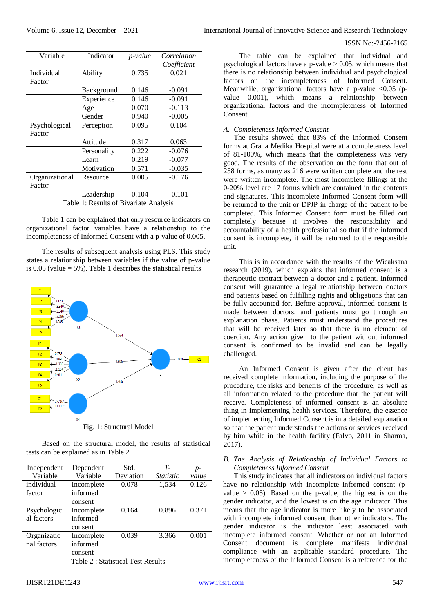| Variable                               | Indicator   | Correlation<br>p-value |             |  |  |  |
|----------------------------------------|-------------|------------------------|-------------|--|--|--|
|                                        |             |                        | Coefficient |  |  |  |
| Individual                             | Ability     | 0.735                  | 0.021       |  |  |  |
| Factor                                 |             |                        |             |  |  |  |
|                                        | Background  | 0.146                  | $-0.091$    |  |  |  |
|                                        | Experience  | 0.146                  | $-0.091$    |  |  |  |
|                                        | Age         | 0.070                  | $-0.113$    |  |  |  |
|                                        | Gender      | 0.940                  | $-0.005$    |  |  |  |
| Psychological                          | Perception  | 0.095                  | 0.104       |  |  |  |
| Factor                                 |             |                        |             |  |  |  |
|                                        | Attitude    | 0.317                  | 0.063       |  |  |  |
|                                        | Personality | 0.222                  | $-0.076$    |  |  |  |
|                                        | Learn       | 0.219                  | $-0.077$    |  |  |  |
|                                        | Motivation  | 0.571                  | $-0.035$    |  |  |  |
| Organizational                         | Resource    | 0.005                  | $-0.176$    |  |  |  |
| Factor                                 |             |                        |             |  |  |  |
|                                        | Leadership  | 0.104                  | $-0.101$    |  |  |  |
| Table 1: Results of Bivariate Analysis |             |                        |             |  |  |  |

Table 1 can be explained that only resource indicators on organizational factor variables have a relationship to the incompleteness of Informed Consent with a p-value of 0.005.

The results of subsequent analysis using PLS. This study states a relationship between variables if the value of p-value is  $0.05$  (value = 5%). Table 1 describes the statistical results



Based on the structural model, the results of statistical tests can be explained as in Table 2.

| Independent | Dependent                          | Std.      | $T-$             | $p-$  |  |
|-------------|------------------------------------|-----------|------------------|-------|--|
| Variable    | Variable                           | Deviation | <i>Statistic</i> | value |  |
| individual  | Incomplete                         | 0.078     | 1,534            | 0.126 |  |
| factor      | informed                           |           |                  |       |  |
|             | consent                            |           |                  |       |  |
| Psychologic | Incomplete                         | 0.164     | 0.896            | 0.371 |  |
| al factors  | informed                           |           |                  |       |  |
|             | consent                            |           |                  |       |  |
| Organizatio | Incomplete                         | 0.039     | 3.366            | 0.001 |  |
| nal factors | informed                           |           |                  |       |  |
|             | consent                            |           |                  |       |  |
|             | Table 2 · Statistical Test Results |           |                  |       |  |

 $\mathcal{L}$  : Statistical Test Result

## *A. Completeness Informed Consent*

The results showed that 83% of the Informed Consent forms at Graha Medika Hospital were at a completeness level of 81-100%, which means that the completeness was very good. The results of the observation on the form that out of 258 forms, as many as 216 were written complete and the rest were written incomplete. The most incomplete fillings at the 0-20% level are 17 forms which are contained in the contents and signatures. This incomplete Informed Consent form will be returned to the unit or DPJP in charge of the patient to be completed. This Informed Consent form must be filled out completely because it involves the responsibility and accountability of a health professional so that if the informed consent is incomplete, it will be returned to the responsible unit.

This is in accordance with the results of the Wicaksana research (2019), which explains that informed consent is a therapeutic contract between a doctor and a patient. Informed consent will guarantee a legal relationship between doctors and patients based on fulfilling rights and obligations that can be fully accounted for. Before approval, informed consent is made between doctors, and patients must go through an explanation phase. Patients must understand the procedures that will be received later so that there is no element of coercion. Any action given to the patient without informed consent is confirmed to be invalid and can be legally challenged.

An Informed Consent is given after the client has received complete information, including the purpose of the procedure, the risks and benefits of the procedure, as well as all information related to the procedure that the patient will receive. Completeness of informed consent is an absolute thing in implementing health services. Therefore, the essence of implementing Informed Consent is in a detailed explanation so that the patient understands the actions or services received by him while in the health facility (Falvo, 2011 in Sharma, 2017).

## *B. The Analysis of Relationship of Individual Factors to Completeness Informed Consent*

This study indicates that all indicators on individual factors have no relationship with incomplete informed consent (pvalue  $> 0.05$ ). Based on the p-value, the highest is on the gender indicator, and the lowest is on the age indicator. This means that the age indicator is more likely to be associated with incomplete informed consent than other indicators. The gender indicator is the indicator least associated with incomplete informed consent. Whether or not an Informed Consent document is complete manifests individual compliance with an applicable standard procedure. The incompleteness of the Informed Consent is a reference for the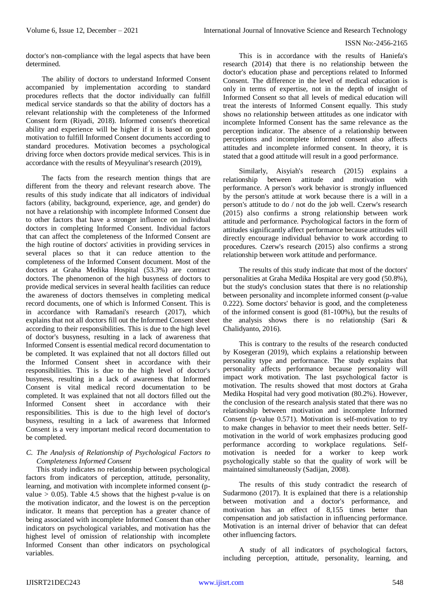doctor's non-compliance with the legal aspects that have been determined.

The ability of doctors to understand Informed Consent accompanied by implementation according to standard procedures reflects that the doctor individually can fulfill medical service standards so that the ability of doctors has a relevant relationship with the completeness of the Informed Consent form (Riyadi, 2018). Informed consent's theoretical ability and experience will be higher if it is based on good motivation to fulfill Informed Consent documents according to standard procedures. Motivation becomes a psychological driving force when doctors provide medical services. This is in accordance with the results of Meyyulinar's research (2019),

The facts from the research mention things that are different from the theory and relevant research above. The results of this study indicate that all indicators of individual factors (ability, background, experience, age, and gender) do not have a relationship with incomplete Informed Consent due to other factors that have a stronger influence on individual doctors in completing Informed Consent. Individual factors that can affect the completeness of the Informed Consent are the high routine of doctors' activities in providing services in several places so that it can reduce attention to the completeness of the Informed Consent document. Most of the doctors at Graha Medika Hospital (53.3%) are contract doctors. The phenomenon of the high busyness of doctors to provide medical services in several health facilities can reduce the awareness of doctors themselves in completing medical record documents, one of which is Informed Consent. This is in accordance with Ramadani's research (2017), which explains that not all doctors fill out the Informed Consent sheet according to their responsibilities. This is due to the high level of doctor's busyness, resulting in a lack of awareness that Informed Consent is essential medical record documentation to be completed. It was explained that not all doctors filled out the Informed Consent sheet in accordance with their responsibilities. This is due to the high level of doctor's busyness, resulting in a lack of awareness that Informed Consent is vital medical record documentation to be completed. It was explained that not all doctors filled out the Informed Consent sheet in accordance with their responsibilities. This is due to the high level of doctor's busyness, resulting in a lack of awareness that Informed Consent is a very important medical record documentation to be completed.

# *C. The Analysis of Relationship of Psychological Factors to Completeness Informed Consent*

This study indicates no relationship between psychological factors from indicators of perception, attitude, personality, learning, and motivation with incomplete informed consent (pvalue  $> 0.05$ ). Table 4.5 shows that the highest p-value is on the motivation indicator, and the lowest is on the perception indicator. It means that perception has a greater chance of being associated with incomplete Informed Consent than other indicators on psychological variables, and motivation has the highest level of omission of relationship with incomplete Informed Consent than other indicators on psychological variables.

This is in accordance with the results of Haniefa's research (2014) that there is no relationship between the doctor's education phase and perceptions related to Informed Consent. The difference in the level of medical education is only in terms of expertise, not in the depth of insight of Informed Consent so that all levels of medical education will treat the interests of Informed Consent equally. This study shows no relationship between attitudes as one indicator with incomplete Informed Consent has the same relevance as the perception indicator. The absence of a relationship between perceptions and incomplete informed consent also affects attitudes and incomplete informed consent. In theory, it is stated that a good attitude will result in a good performance.

Similarly, Aisyiah's research (2015) explains a relationship between attitude and motivation with performance. A person's work behavior is strongly influenced by the person's attitude at work because there is a will in a person's attitude to do / not do the job well. Czerw's research (2015) also confirms a strong relationship between work attitude and performance. Psychological factors in the form of attitudes significantly affect performance because attitudes will directly encourage individual behavior to work according to procedures. Czerw's research (2015) also confirms a strong relationship between work attitude and performance.

The results of this study indicate that most of the doctors' personalities at Graha Medika Hospital are very good (50.8%), but the study's conclusion states that there is no relationship between personality and incomplete informed consent (p-value 0.222). Some doctors' behavior is good, and the completeness of the informed consent is good (81-100%), but the results of the analysis shows there is no relationship (Sari & Chalidyanto, 2016).

This is contrary to the results of the research conducted by Kosegeran (2019), which explains a relationship between personality type and performance. The study explains that personality affects performance because personality will impact work motivation. The last psychological factor is motivation. The results showed that most doctors at Graha Medika Hospital had very good motivation (80.2%). However, the conclusion of the research analysis stated that there was no relationship between motivation and incomplete Informed Consent (p-value 0.571). Motivation is self-motivation to try to make changes in behavior to meet their needs better. Selfmotivation in the world of work emphasizes producing good performance according to workplace regulations. Selfmotivation is needed for a worker to keep work psychologically stable so that the quality of work will be maintained simultaneously (Sadijan, 2008).

The results of this study contradict the research of Sudarmono (2017). It is explained that there is a relationship between motivation and a doctor's performance, and motivation has an effect of 8,155 times better than compensation and job satisfaction in influencing performance. Motivation is an internal driver of behavior that can defeat other influencing factors.

A study of all indicators of psychological factors, including perception, attitude, personality, learning, and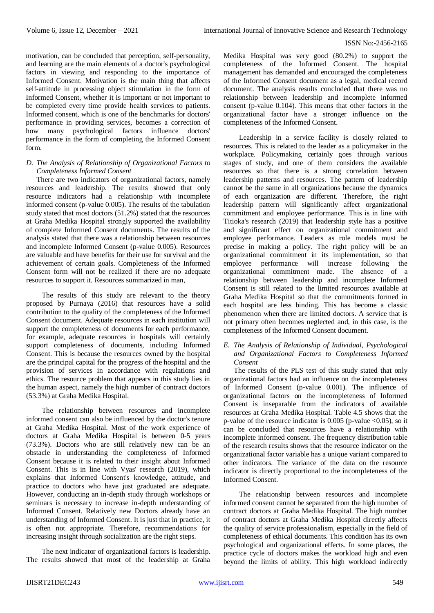motivation, can be concluded that perception, self-personality, and learning are the main elements of a doctor's psychological factors in viewing and responding to the importance of Informed Consent. Motivation is the main thing that affects self-attitude in processing object stimulation in the form of Informed Consent, whether it is important or not important to be completed every time provide health services to patients. Informed consent, which is one of the benchmarks for doctors' performance in providing services, becomes a correction of how many psychological factors influence doctors' performance in the form of completing the Informed Consent form.

## *D. The Analysis of Relationship of Organizational Factors to Completeness Informed Consent*

There are two indicators of organizational factors, namely resources and leadership. The results showed that only resource indicators had a relationship with incomplete informed consent (p-value 0.005). The results of the tabulation study stated that most doctors (51.2%) stated that the resources at Graha Medika Hospital strongly supported the availability of complete Informed Consent documents. The results of the analysis stated that there was a relationship between resources and incomplete Informed Consent (p-value 0.005). Resources are valuable and have benefits for their use for survival and the achievement of certain goals. Completeness of the Informed Consent form will not be realized if there are no adequate resources to support it. Resources summarized in man,

The results of this study are relevant to the theory proposed by Purnaya (2016) that resources have a solid contribution to the quality of the completeness of the Informed Consent document. Adequate resources in each institution will support the completeness of documents for each performance, for example, adequate resources in hospitals will certainly support completeness of documents, including Informed Consent. This is because the resources owned by the hospital are the principal capital for the progress of the hospital and the provision of services in accordance with regulations and ethics. The resource problem that appears in this study lies in the human aspect, namely the high number of contract doctors (53.3%) at Graha Medika Hospital.

The relationship between resources and incomplete informed consent can also be influenced by the doctor's tenure at Graha Medika Hospital. Most of the work experience of doctors at Graha Medika Hospital is between 0-5 years (73.3%). Doctors who are still relatively new can be an obstacle in understanding the completeness of Informed Consent because it is related to their insight about Informed Consent. This is in line with Vyas' research (2019), which explains that Informed Consent's knowledge, attitude, and practice to doctors who have just graduated are adequate. However, conducting an in-depth study through workshops or seminars is necessary to increase in-depth understanding of Informed Consent. Relatively new Doctors already have an understanding of Informed Consent. It is just that in practice, it is often not appropriate. Therefore, recommendations for increasing insight through socialization are the right steps.

The next indicator of organizational factors is leadership. The results showed that most of the leadership at Graha

Medika Hospital was very good (80.2%) to support the completeness of the Informed Consent. The hospital management has demanded and encouraged the completeness of the Informed Consent document as a legal, medical record document. The analysis results concluded that there was no relationship between leadership and incomplete informed consent (p-value 0.104). This means that other factors in the organizational factor have a stronger influence on the completeness of the Informed Consent.

Leadership in a service facility is closely related to resources. This is related to the leader as a policymaker in the workplace. Policymaking certainly goes through various stages of study, and one of them considers the available resources so that there is a strong correlation between leadership patterns and resources. The pattern of leadership cannot be the same in all organizations because the dynamics of each organization are different. Therefore, the right leadership pattern will significantly affect organizational commitment and employee performance. This is in line with Titioka's research (2019) that leadership style has a positive and significant effect on organizational commitment and employee performance. Leaders as role models must be precise in making a policy. The right policy will be an organizational commitment in its implementation, so that employee performance will increase following the organizational commitment made. The absence of a relationship between leadership and incomplete Informed Consent is still related to the limited resources available at Graha Medika Hospital so that the commitments formed in each hospital are less binding. This has become a classic phenomenon when there are limited doctors. A service that is not primary often becomes neglected and, in this case, is the completeness of the Informed Consent document.

## *E. The Analysis of Relationship of Individual, Psychological and Organizational Factors to Completeness Informed Consent*

The results of the PLS test of this study stated that only organizational factors had an influence on the incompleteness of Informed Consent (p-value 0.001). The influence of organizational factors on the incompleteness of Informed Consent is inseparable from the indicators of available resources at Graha Medika Hospital. Table 4.5 shows that the p-value of the resource indicator is  $0.005$  (p-value  $\leq 0.05$ ), so it can be concluded that resources have a relationship with incomplete informed consent. The frequency distribution table of the research results shows that the resource indicator on the organizational factor variable has a unique variant compared to other indicators. The variance of the data on the resource indicator is directly proportional to the incompleteness of the Informed Consent.

The relationship between resources and incomplete informed consent cannot be separated from the high number of contract doctors at Graha Medika Hospital. The high number of contract doctors at Graha Medika Hospital directly affects the quality of service professionalism, especially in the field of completeness of ethical documents. This condition has its own psychological and organizational effects. In some places, the practice cycle of doctors makes the workload high and even beyond the limits of ability. This high workload indirectly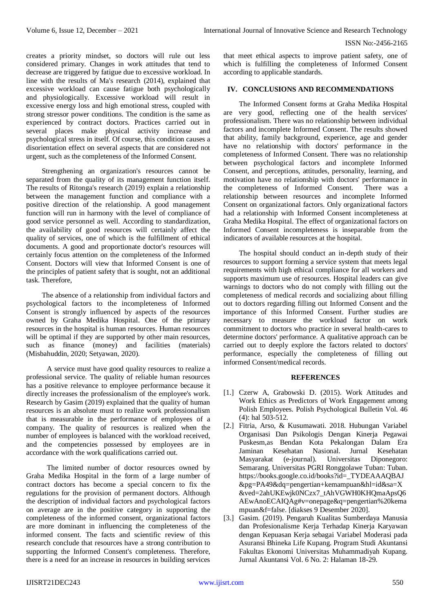creates a priority mindset, so doctors will rule out less considered primary. Changes in work attitudes that tend to decrease are triggered by fatigue due to excessive workload. In line with the results of Ma's research (2014), explained that excessive workload can cause fatigue both psychologically and physiologically. Excessive workload will result in excessive energy loss and high emotional stress, coupled with strong stressor power conditions. The condition is the same as experienced by contract doctors. Practices carried out in several places make physical activity increase and psychological stress in itself. Of course, this condition causes a disorientation effect on several aspects that are considered not urgent, such as the completeness of the Informed Consent.

Strengthening an organization's resources cannot be separated from the quality of its management function itself. The results of Ritonga's research (2019) explain a relationship between the management function and compliance with a positive direction of the relationship. A good management function will run in harmony with the level of compliance of good service personnel as well. According to standardization, the availability of good resources will certainly affect the quality of services, one of which is the fulfillment of ethical documents. A good and proportionate doctor's resources will certainly focus attention on the completeness of the Informed Consent. Doctors will view that Informed Consent is one of the principles of patient safety that is sought, not an additional task. Therefore,

The absence of a relationship from individual factors and psychological factors to the incompleteness of Informed Consent is strongly influenced by aspects of the resources owned by Graha Medika Hospital. One of the primary resources in the hospital is human resources. Human resources will be optimal if they are supported by other main resources, such as finance (money) and facilities (materials) (Misbahuddin, 2020; Setyawan, 2020).

A service must have good quality resources to realize a professional service. The quality of reliable human resources has a positive relevance to employee performance because it directly increases the professionalism of the employee's work. Research by Gasim (2019) explained that the quality of human resources is an absolute must to realize work professionalism that is measurable in the performance of employees of a company. The quality of resources is realized when the number of employees is balanced with the workload received, and the competencies possessed by employees are in accordance with the work qualifications carried out.

The limited number of doctor resources owned by Graha Medika Hospital in the form of a large number of contract doctors has become a special concern to fix the regulations for the provision of permanent doctors. Although the description of individual factors and psychological factors on average are in the positive category in supporting the completeness of the informed consent, organizational factors are more dominant in influencing the completeness of the informed consent. The facts and scientific review of this research conclude that resources have a strong contribution to supporting the Informed Consent's completeness. Therefore, there is a need for an increase in resources in building services

that meet ethical aspects to improve patient safety, one of which is fulfilling the completeness of Informed Consent according to applicable standards.

## **IV. CONCLUSIONS AND RECOMMENDATIONS**

The Informed Consent forms at Graha Medika Hospital are very good, reflecting one of the health services' professionalism. There was no relationship between individual factors and incomplete Informed Consent. The results showed that ability, family background, experience, age and gender have no relationship with doctors' performance in the completeness of Informed Consent. There was no relationship between psychological factors and incomplete Informed Consent, and perceptions, attitudes, personality, learning, and motivation have no relationship with doctors' performance in the completeness of Informed Consent. There was a relationship between resources and incomplete Informed Consent on organizational factors. Only organizational factors had a relationship with Informed Consent incompleteness at Graha Medika Hospital. The effect of organizational factors on Informed Consent incompleteness is inseparable from the indicators of available resources at the hospital.

The hospital should conduct an in-depth study of their resources to support forming a service system that meets legal requirements with high ethical compliance for all workers and supports maximum use of resources. Hospital leaders can give warnings to doctors who do not comply with filling out the completeness of medical records and socializing about filling out to doctors regarding filling out Informed Consent and the importance of this Informed Consent. Further studies are necessary to measure the workload factor on work commitment to doctors who practice in several health-cares to determine doctors' performance. A qualitative approach can be carried out to deeply explore the factors related to doctors' performance, especially the completeness of filling out informed Consent/medical records.

#### **REFERENCES**

- [1.] Czerw A, Grabowski D. (2015). Work Attitudes and Work Ethics as Predictors of Work Engagement among Polish Employees. Polish Psychological Bulletin Vol. 46 (4): hal 503-512.
- [2.] Fitria, Arso, & Kusumawati. 2018. Hubungan Variabel Organisasi Dan Psikologis Dengan Kinerja Pegawai Puskesm,as Bendan Kota Pekalongan Dalam Era Jaminan Kesehatan Nasional. Jurnal Kesehatan Masyarakat (e-journal). Universitas Diponegoro: Semarang. Universitas PGRI Ronggolawe Tuban: Tuban. [https://books.google.co.id/books?id=\\_TYDEAAAQBAJ](https://books.google.co.id/books?id=_TYDEAAAQBAJ&pg=PA49&dq=pengertian+kemampuan&hl=id&sa=X&ved=2ahUKEwjk0NCzx7_tAhVGWH0KHQmaApsQ6AEwAnoECAIQAg#v=onepage&q=pengertian%20kemampuan&f=false) [&pg=PA49&dq=pengertian+kemampuan&hl=id&sa=X](https://books.google.co.id/books?id=_TYDEAAAQBAJ&pg=PA49&dq=pengertian+kemampuan&hl=id&sa=X&ved=2ahUKEwjk0NCzx7_tAhVGWH0KHQmaApsQ6AEwAnoECAIQAg#v=onepage&q=pengertian%20kemampuan&f=false) [&ved=2ahUKEwjk0NCzx7\\_tAhVGWH0KHQmaApsQ6](https://books.google.co.id/books?id=_TYDEAAAQBAJ&pg=PA49&dq=pengertian+kemampuan&hl=id&sa=X&ved=2ahUKEwjk0NCzx7_tAhVGWH0KHQmaApsQ6AEwAnoECAIQAg#v=onepage&q=pengertian%20kemampuan&f=false) [AEwAnoECAIQAg#v=onepage&q=pengertian%20kema](https://books.google.co.id/books?id=_TYDEAAAQBAJ&pg=PA49&dq=pengertian+kemampuan&hl=id&sa=X&ved=2ahUKEwjk0NCzx7_tAhVGWH0KHQmaApsQ6AEwAnoECAIQAg#v=onepage&q=pengertian%20kemampuan&f=false) [mpuan&f=false.](https://books.google.co.id/books?id=_TYDEAAAQBAJ&pg=PA49&dq=pengertian+kemampuan&hl=id&sa=X&ved=2ahUKEwjk0NCzx7_tAhVGWH0KHQmaApsQ6AEwAnoECAIQAg#v=onepage&q=pengertian%20kemampuan&f=false) [diakses 9 Desember 2020].
- [3.] Gasim. (2019). Pengaruh Kualitas Sumberdaya Manusia dan Profesionalisme Kerja Terhadap Kinerja Karyawan dengan Kepuasan Kerja sebagai Variabel Moderasi pada Asuransi Bhineka Life Kupang. Program Studi Akuntansi Fakultas Ekonomi Universitas Muhammadiyah Kupang. Jurnal Akuntansi Vol. 6 No. 2: Halaman 18-29.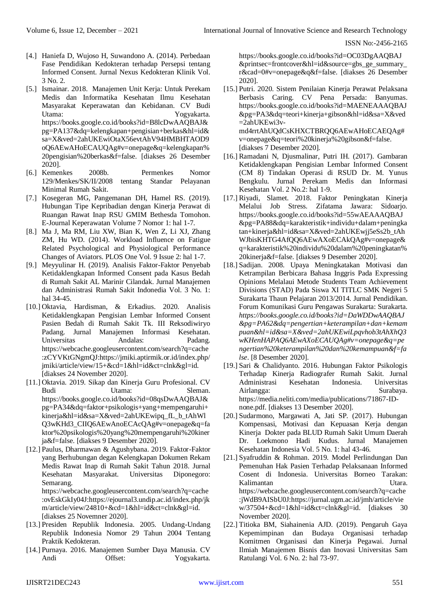- [4.] Haniefa D, Wujoso H, Suwandono A. (2014). Perbedaan Fase Pendidikan Kedokteran terhadap Persepsi tentang Informed Consent. Jurnal Nexus Kedokteran Klinik Vol. 3 No. 2.
- [5.] Ismainar. 2018. Manajemen Unit Kerja: Untuk Perekam Medis dan Informatika Kesehatan Ilmu Kesehatan Masyarakat Keperawatan dan Kebidanan. CV Budi Utama: Yogyakarta. [https://books.google.co.id/books?id=B8lcDwAAQBAJ&](https://books.google.co.id/books?id=B8lcDwAAQBAJ&pg=PA137&dq=kelengkapan+pengisian+berkas&hl=id&sa=X&ved=2ahUKEwiOtaX56evtAhV94HMBHTAOD9oQ6AEwAHoECAUQAg#v=onepage&q=kelengkapan%20pengisian%20berkas&f=false) [pg=PA137&dq=kelengkapan+pengisian+berkas&hl=id&](https://books.google.co.id/books?id=B8lcDwAAQBAJ&pg=PA137&dq=kelengkapan+pengisian+berkas&hl=id&sa=X&ved=2ahUKEwiOtaX56evtAhV94HMBHTAOD9oQ6AEwAHoECAUQAg#v=onepage&q=kelengkapan%20pengisian%20berkas&f=false) [sa=X&ved=2ahUKEwiOtaX56evtAhV94HMBHTAOD9](https://books.google.co.id/books?id=B8lcDwAAQBAJ&pg=PA137&dq=kelengkapan+pengisian+berkas&hl=id&sa=X&ved=2ahUKEwiOtaX56evtAhV94HMBHTAOD9oQ6AEwAHoECAUQAg#v=onepage&q=kelengkapan%20pengisian%20berkas&f=false) [oQ6AEwAHoECAUQAg#v=onepage&q=kelengkapan%](https://books.google.co.id/books?id=B8lcDwAAQBAJ&pg=PA137&dq=kelengkapan+pengisian+berkas&hl=id&sa=X&ved=2ahUKEwiOtaX56evtAhV94HMBHTAOD9oQ6AEwAHoECAUQAg#v=onepage&q=kelengkapan%20pengisian%20berkas&f=false) [20pengisian%20berkas&f=false.](https://books.google.co.id/books?id=B8lcDwAAQBAJ&pg=PA137&dq=kelengkapan+pengisian+berkas&hl=id&sa=X&ved=2ahUKEwiOtaX56evtAhV94HMBHTAOD9oQ6AEwAHoECAUQAg#v=onepage&q=kelengkapan%20pengisian%20berkas&f=false) [diakses 26 Desember 2020].
- [6.] Kemenkes 2008b. Permenkes Nomor 129/Menkes/SK/II/2008 tentang Standar Pelayanan Minimal Rumah Sakit.
- [7.] Kosegeran MG, Pangemanan DH, Hamel RS. (2019). Hubungan Tipe Kepribadian dengan Kinerja Perawat di Ruangan Rawat Inap RSU GMIM Bethesda Tomohon. E-Journal Keperawatan Volume 7 Nomor 1: hal 1-7.
- [8.] Ma J, Ma RM, Liu XW, Bian K, Wen Z, Li XJ, Zhang ZM, Hu WD. (2014). Workload Influence on Fatigue Related Psychological and Physiological Performance Changes of Aviators. PLOS One Vol. 9 Issue 2: hal 1-7.
- [9.] Meyyulinar H. (2019). Analisis Faktor-Faktor Penyebab Ketidaklengkapan Informed Consent pada Kasus Bedah di Rumah Sakit AL Marinir Cilandak. Jurnal Manajemen dan Administrasi Rumah Sakit Indonedia Vol. 3 No. 1: hal 34-45.
- [10.] Oktavia, Hardisman, & Erkadius. 2020. Analisis Ketidaklengkapan Pengisian Lembar Informed Consent Pasien Bedah di Rumah Sakit Tk. III Reksodiwiryo Padang. Jurnal Manajemen Informasi Kesehatan. Universitas Andalas: Padang. [https://webcache.googleusercontent.com/search?q=cache](https://webcache.googleusercontent.com/search?q=cache:zCYVKtGNgmQJ:https://jmiki.aptirmik.or.id/index.php/jmiki/article/view/15+&cd=1&hl=id&ct=clnk&gl=id) [:zCYVKtGNgmQJ:https://jmiki.aptirmik.or.id/index.php/](https://webcache.googleusercontent.com/search?q=cache:zCYVKtGNgmQJ:https://jmiki.aptirmik.or.id/index.php/jmiki/article/view/15+&cd=1&hl=id&ct=clnk&gl=id) [jmiki/article/view/15+&cd=1&hl=id&ct=clnk&gl=id.](https://webcache.googleusercontent.com/search?q=cache:zCYVKtGNgmQJ:https://jmiki.aptirmik.or.id/index.php/jmiki/article/view/15+&cd=1&hl=id&ct=clnk&gl=id) [diakses 24 November 2020].
- [11.] Oktavia. 2019. Sikap dan Kinerja Guru Profesional. CV Budi Utama: Sleman. [https://books.google.co.id/books?id=08qsDwAAQBAJ&](https://books.google.co.id/books?id=08qsDwAAQBAJ&pg=PA34&dq=faktor+psikologis+yang+mempengaruhi+kinerja&hl=id&sa=X&ved=2ahUKEwipq_fL_b_tAhWlQ3wKHd3_CIIQ6AEwAnoECAcQAg#v=onepage&q=faktor%20psikologis%20yang%20mempengaruhi%20kinerja&f=false) [pg=PA34&dq=faktor+psikologis+yang+mempengaruhi+](https://books.google.co.id/books?id=08qsDwAAQBAJ&pg=PA34&dq=faktor+psikologis+yang+mempengaruhi+kinerja&hl=id&sa=X&ved=2ahUKEwipq_fL_b_tAhWlQ3wKHd3_CIIQ6AEwAnoECAcQAg#v=onepage&q=faktor%20psikologis%20yang%20mempengaruhi%20kinerja&f=false) [kinerja&hl=id&sa=X&ved=2ahUKEwipq\\_fL\\_b\\_tAhWl](https://books.google.co.id/books?id=08qsDwAAQBAJ&pg=PA34&dq=faktor+psikologis+yang+mempengaruhi+kinerja&hl=id&sa=X&ved=2ahUKEwipq_fL_b_tAhWlQ3wKHd3_CIIQ6AEwAnoECAcQAg#v=onepage&q=faktor%20psikologis%20yang%20mempengaruhi%20kinerja&f=false) [Q3wKHd3\\_CIIQ6AEwAnoECAcQAg#v=onepage&q=fa](https://books.google.co.id/books?id=08qsDwAAQBAJ&pg=PA34&dq=faktor+psikologis+yang+mempengaruhi+kinerja&hl=id&sa=X&ved=2ahUKEwipq_fL_b_tAhWlQ3wKHd3_CIIQ6AEwAnoECAcQAg#v=onepage&q=faktor%20psikologis%20yang%20mempengaruhi%20kinerja&f=false) [ktor%20psikologis%20yang%20mempengaruhi%20kiner](https://books.google.co.id/books?id=08qsDwAAQBAJ&pg=PA34&dq=faktor+psikologis+yang+mempengaruhi+kinerja&hl=id&sa=X&ved=2ahUKEwipq_fL_b_tAhWlQ3wKHd3_CIIQ6AEwAnoECAcQAg#v=onepage&q=faktor%20psikologis%20yang%20mempengaruhi%20kinerja&f=false) [ja&f=false.](https://books.google.co.id/books?id=08qsDwAAQBAJ&pg=PA34&dq=faktor+psikologis+yang+mempengaruhi+kinerja&hl=id&sa=X&ved=2ahUKEwipq_fL_b_tAhWlQ3wKHd3_CIIQ6AEwAnoECAcQAg#v=onepage&q=faktor%20psikologis%20yang%20mempengaruhi%20kinerja&f=false) [diakses 9 Desember 2020].
- [12.] Paulus, Dharmawan & Agushybana. 2019. Faktor-Faktor yang Berhubungan degan Kelengkapan Dokumen Rekam Medis Rawat Inap di Rumah Sakit Tahun 2018. Jurnal Kesehatan Masyarakat. Universitas Diponegoro: Semarang. [https://webcache.googleusercontent.com/search?q=cache](https://webcache.googleusercontent.com/search?q=cache:ovEskGkIy04J:https://ejournal3.undip.ac.id/index.php/jkm/article/view/24810+&cd=1&hl=id&ct=clnk&gl=id) [:ovEskGkIy04J:https://ejournal3.undip.ac.id/index.php/jk](https://webcache.googleusercontent.com/search?q=cache:ovEskGkIy04J:https://ejournal3.undip.ac.id/index.php/jkm/article/view/24810+&cd=1&hl=id&ct=clnk&gl=id) [m/article/view/24810+&cd=1&hl=id&ct=clnk&gl=id.](https://webcache.googleusercontent.com/search?q=cache:ovEskGkIy04J:https://ejournal3.undip.ac.id/index.php/jkm/article/view/24810+&cd=1&hl=id&ct=clnk&gl=id) [diakses 25 Novemner 2020].
- [13.] Presiden Republik Indonesia. 2005. Undang-Undang Republik Indonesia Nomor 29 Tahun 2004 Tentang Praktik Kedokteran.
- [14.] Purnaya. 2016. Manajemen Sumber Daya Manusia. CV Andi Offset: Yogyakarta.

[https://books.google.co.id/books?id=OC03DgAAQBAJ](https://books.google.co.id/books?id=OC03DgAAQBAJ&printsec=frontcover&hl=id&source=gbs_ge_summary_r&cad=0#v=onepage&q&f=false) [&printsec=frontcover&hl=id&source=gbs\\_ge\\_summary\\_](https://books.google.co.id/books?id=OC03DgAAQBAJ&printsec=frontcover&hl=id&source=gbs_ge_summary_r&cad=0#v=onepage&q&f=false) [r&cad=0#v=onepage&q&f=false.](https://books.google.co.id/books?id=OC03DgAAQBAJ&printsec=frontcover&hl=id&source=gbs_ge_summary_r&cad=0#v=onepage&q&f=false) [diakses 26 Desember 2020].

- [15.] Putri. 2020. Sistem Penilaian Kinerja Perawat Pelaksana Berbasis Caring. CV Pena Persada: Banyumas. [https://books.google.co.id/books?id=MAENEAAAQBAJ](https://books.google.co.id/books?id=MAENEAAAQBAJ&pg=PA3&dq=teori+kinerja+gibson&hl=id&sa=X&ved=2ahUKEwi3v-md4rrtAhUQdCsKHXCTBRQQ6AEwAHoECAEQAg#v=onepage&q=teori%20kinerja%20gibson&f=false) [&pg=PA3&dq=teori+kinerja+gibson&hl=id&sa=X&ved](https://books.google.co.id/books?id=MAENEAAAQBAJ&pg=PA3&dq=teori+kinerja+gibson&hl=id&sa=X&ved=2ahUKEwi3v-md4rrtAhUQdCsKHXCTBRQQ6AEwAHoECAEQAg#v=onepage&q=teori%20kinerja%20gibson&f=false) [=2ahUKEwi3v](https://books.google.co.id/books?id=MAENEAAAQBAJ&pg=PA3&dq=teori+kinerja+gibson&hl=id&sa=X&ved=2ahUKEwi3v-md4rrtAhUQdCsKHXCTBRQQ6AEwAHoECAEQAg#v=onepage&q=teori%20kinerja%20gibson&f=false)[md4rrtAhUQdCsKHXCTBRQQ6AEwAHoECAEQAg#](https://books.google.co.id/books?id=MAENEAAAQBAJ&pg=PA3&dq=teori+kinerja+gibson&hl=id&sa=X&ved=2ahUKEwi3v-md4rrtAhUQdCsKHXCTBRQQ6AEwAHoECAEQAg#v=onepage&q=teori%20kinerja%20gibson&f=false) [v=onepage&q=teori%20kinerja%20gibson&f=false.](https://books.google.co.id/books?id=MAENEAAAQBAJ&pg=PA3&dq=teori+kinerja+gibson&hl=id&sa=X&ved=2ahUKEwi3v-md4rrtAhUQdCsKHXCTBRQQ6AEwAHoECAEQAg#v=onepage&q=teori%20kinerja%20gibson&f=false) [diakses 7 Desember 2020].
- [16.] Ramadani N, Djusmalinar, Putri IH. (2017). Gambaran Ketidaklengkapan Pengisian Lembar Informed Consent (CM 8) Tindakan Operasi di RSUD Dr. M. Yunus Bengkulu. Jurnal Perekam Medis dan Informasi Kesehatan Vol. 2 No.2: hal 1-9.
- [17.] Riyadi, Slamet. 2018. Faktor Peningkatan Kinerja Melalui Job Stress. Zifatama Jawara: Sidoarjo. [https://books.google.co.id/books?id=55wAEAAAQBAJ](https://books.google.co.id/books?id=55wAEAAAQBAJ&pg=PA88&dq=karakteristik+individu+dalam+peningkatan+kinerja&hl=id&sa=X&ved=2ahUKEwjj5eSs2b_tAhWJbisKHTG4AfQQ6AEwAXoECAkQAg#v=onepage&q=karakteristik%20individu%20dalam%20peningkatan%20kinerja&f=false) [&pg=PA88&dq=karakteristik+individu+dalam+peningka](https://books.google.co.id/books?id=55wAEAAAQBAJ&pg=PA88&dq=karakteristik+individu+dalam+peningkatan+kinerja&hl=id&sa=X&ved=2ahUKEwjj5eSs2b_tAhWJbisKHTG4AfQQ6AEwAXoECAkQAg#v=onepage&q=karakteristik%20individu%20dalam%20peningkatan%20kinerja&f=false) [tan+kinerja&hl=id&sa=X&ved=2ahUKEwjj5eSs2b\\_tAh](https://books.google.co.id/books?id=55wAEAAAQBAJ&pg=PA88&dq=karakteristik+individu+dalam+peningkatan+kinerja&hl=id&sa=X&ved=2ahUKEwjj5eSs2b_tAhWJbisKHTG4AfQQ6AEwAXoECAkQAg#v=onepage&q=karakteristik%20individu%20dalam%20peningkatan%20kinerja&f=false) [WJbisKHTG4AfQQ6AEwAXoECAkQAg#v=onepage&](https://books.google.co.id/books?id=55wAEAAAQBAJ&pg=PA88&dq=karakteristik+individu+dalam+peningkatan+kinerja&hl=id&sa=X&ved=2ahUKEwjj5eSs2b_tAhWJbisKHTG4AfQQ6AEwAXoECAkQAg#v=onepage&q=karakteristik%20individu%20dalam%20peningkatan%20kinerja&f=false) [q=karakteristik%20individu%20dalam%20peningkatan%](https://books.google.co.id/books?id=55wAEAAAQBAJ&pg=PA88&dq=karakteristik+individu+dalam+peningkatan+kinerja&hl=id&sa=X&ved=2ahUKEwjj5eSs2b_tAhWJbisKHTG4AfQQ6AEwAXoECAkQAg#v=onepage&q=karakteristik%20individu%20dalam%20peningkatan%20kinerja&f=false) [20kinerja&f=false.](https://books.google.co.id/books?id=55wAEAAAQBAJ&pg=PA88&dq=karakteristik+individu+dalam+peningkatan+kinerja&hl=id&sa=X&ved=2ahUKEwjj5eSs2b_tAhWJbisKHTG4AfQQ6AEwAXoECAkQAg#v=onepage&q=karakteristik%20individu%20dalam%20peningkatan%20kinerja&f=false) [diakses 9 Desember 2020].
- [18.] Sadijan. 2008. Upaya Meningkatakan Motivasi dan Ketrampilan Berbicara Bahasa Inggris Pada Expressing Opinions Melalaui Metode Students Team Achievement Divisions (STAD) Pada Siswa XI TITLC SMK Negeri 5 Surakarta Thaun Pelajaran 2013/2014. Jurnal Pendidikan. Forum Komunikasi Guru Pengawas Surakarta: Surakarta. *[https://books.google.co.id/books?id=DaWDDwAAQBAJ](https://books.google.co.id/books?id=DaWDDwAAQBAJ&pg=PA62&dq=pengertian+keterampilan+dan+kemampuan&hl=id&sa=X&ved=2ahUKEwiLpqvhob3tAhXhQ3wKHenHAPAQ6AEwAXoECAUQAg#v=onepage&q=pengertian%20keterampilan%20dan%20kemampuan&f=false) [&pg=PA62&dq=pengertian+keterampilan+dan+kemam](https://books.google.co.id/books?id=DaWDDwAAQBAJ&pg=PA62&dq=pengertian+keterampilan+dan+kemampuan&hl=id&sa=X&ved=2ahUKEwiLpqvhob3tAhXhQ3wKHenHAPAQ6AEwAXoECAUQAg#v=onepage&q=pengertian%20keterampilan%20dan%20kemampuan&f=false) [puan&hl=id&sa=X&ved=2ahUKEwiLpqvhob3tAhXhQ3](https://books.google.co.id/books?id=DaWDDwAAQBAJ&pg=PA62&dq=pengertian+keterampilan+dan+kemampuan&hl=id&sa=X&ved=2ahUKEwiLpqvhob3tAhXhQ3wKHenHAPAQ6AEwAXoECAUQAg#v=onepage&q=pengertian%20keterampilan%20dan%20kemampuan&f=false) [wKHenHAPAQ6AEwAXoECAUQAg#v=onepage&q=pe](https://books.google.co.id/books?id=DaWDDwAAQBAJ&pg=PA62&dq=pengertian+keterampilan+dan+kemampuan&hl=id&sa=X&ved=2ahUKEwiLpqvhob3tAhXhQ3wKHenHAPAQ6AEwAXoECAUQAg#v=onepage&q=pengertian%20keterampilan%20dan%20kemampuan&f=false) [ngertian%20keterampilan%20dan%20kemampuan&f=fa](https://books.google.co.id/books?id=DaWDDwAAQBAJ&pg=PA62&dq=pengertian+keterampilan+dan+kemampuan&hl=id&sa=X&ved=2ahUKEwiLpqvhob3tAhXhQ3wKHenHAPAQ6AEwAXoECAUQAg#v=onepage&q=pengertian%20keterampilan%20dan%20kemampuan&f=false) [lse](https://books.google.co.id/books?id=DaWDDwAAQBAJ&pg=PA62&dq=pengertian+keterampilan+dan+kemampuan&hl=id&sa=X&ved=2ahUKEwiLpqvhob3tAhXhQ3wKHenHAPAQ6AEwAXoECAUQAg#v=onepage&q=pengertian%20keterampilan%20dan%20kemampuan&f=false)*. [8 Desember 2020].
- [19.] Sari & Chalidyanto. 2016. Hubungan Faktor Psikologis Terhadap Kinerja Radiografer Rumah Sakit. Jurnal Administrasi Kesehatan Indonesia. Universitas Airlangga: Surabaya. [https://media.neliti.com/media/publications/71867-ID](https://media.neliti.com/media/publications/71867-ID-none.pdf)[none.pdf.](https://media.neliti.com/media/publications/71867-ID-none.pdf) [diakses 13 Desember 2020].
- [20.] Sudarmono, Margawati A, Jati SP. (2017). Hubungan Kompensasi, Motivasi dan Kepuasan Kerja dengan Kinerja Dokter pada BLUD Rumah Sakit Umum Daerah Dr. Loekmono Hadi Kudus. Jurnal Manajemen Kesehatan Indonesia Vol. 5 No. 1: hal 43-46.
- [21.] Syafruddin & Rohman. 2019. Model Perlindungan Dan Pemenuhan Hak Pasien Terhadap Pelaksanaan Informed Cosent di Indonesia. Universitas Borneo Tarakan: Kalimantan Utara. [https://webcache.googleusercontent.com/search?q=cache](https://webcache.googleusercontent.com/search?q=cache:jWdB9AISbU0J:https://jurnal.ugm.ac.id/jmh/article/view/37504+&cd=1&hl=id&ct=clnk&gl=id) [:jWdB9AISbU0J:https://jurnal.ugm.ac.id/jmh/article/vie](https://webcache.googleusercontent.com/search?q=cache:jWdB9AISbU0J:https://jurnal.ugm.ac.id/jmh/article/view/37504+&cd=1&hl=id&ct=clnk&gl=id) [w/37504+&cd=1&hl=id&ct=clnk&gl=id.](https://webcache.googleusercontent.com/search?q=cache:jWdB9AISbU0J:https://jurnal.ugm.ac.id/jmh/article/view/37504+&cd=1&hl=id&ct=clnk&gl=id) [diakses 30 November 2020].
- [22.] Titioka BM, Siahainenia AJD. (2019). Pengaruh Gaya Kepemimpinan dan Budaya Organisasi terhadap Komitmen Organisasi dan Kinerja Pegawai. Jurnal Ilmiah Manajemen Bisnis dan Inovasi Universitas Sam Ratulangi Vol. 6 No. 2: hal 73-97.